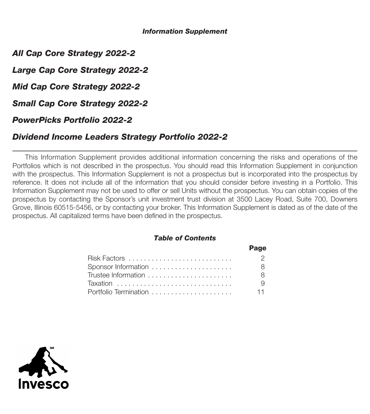#### *Information Supplement*

*All Cap Core Strategy 2022-2*

*Large Cap Core Strategy 2022-2*

*Mid Cap Core Strategy 2022-2*

*Small Cap Core Strategy 2022-2*

*PowerPicks Portfolio 2022-2*

# *Dividend Income Leaders Strategy Portfolio 2022-2*

This Information Supplement provides additional information concerning the risks and operations of the Portfolios which is not described in the prospectus. You should read this Information Supplement in conjunction with the prospectus. This Information Supplement is not a prospectus but is incorporated into the prospectus by reference. It does not include all of the information that you should consider before investing in a Portfolio. This Information Supplement may not be used to offer or sell Units without the prospectus. You can obtain copies of the prospectus by contacting the Sponsor's unit investment trust division at 3500 Lacey Road, Suite 700, Downers Grove, Illinois 60515-5456, or by contacting your broker. This Information Supplement is dated as of the date of the prospectus. All capitalized terms have been defined in the prospectus.

### *Table of Contents*

|                       | Page           |
|-----------------------|----------------|
|                       | $\overline{2}$ |
|                       | 8 I            |
| Trustee Information   | -8             |
|                       |                |
| Portfolio Termination | $-11$          |

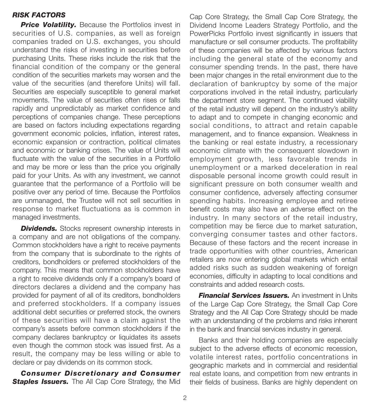### *RISK FACTORS*

**Price Volatility.** Because the Portfolios invest in securities of U.S. companies, as well as foreign companies traded on U.S. exchanges, you should understand the risks of investing in securities before purchasing Units. These risks include the risk that the financial condition of the company or the general condition of the securities markets may worsen and the value of the securities (and therefore Units) will fall. Securities are especially susceptible to general market movements. The value of securities often rises or falls rapidly and unpredictably as market confidence and perceptions of companies change. These perceptions are based on factors including expectations regarding government economic policies, inflation, interest rates, economic expansion or contraction, political climates and economic or banking crises. The value of Units will fluctuate with the value of the securities in a Portfolio and may be more or less than the price you originally paid for your Units. As with any investment, we cannot guarantee that the performance of a Portfolio will be positive over any period of time. Because the Portfolios are unmanaged, the Trustee will not sell securities in response to market fluctuations as is common in managed investments.

**Dividends.** Stocks represent ownership interests in a company and are not obligations of the company. Common stockholders have a right to receive payments from the company that is subordinate to the rights of creditors, bondholders or preferred stockholders of the company. This means that common stockholders have a right to receive dividends only if a company's board of directors declares a dividend and the company has provided for payment of all of its creditors, bondholders and preferred stockholders. If a company issues additional debt securities or preferred stock, the owners of these securities will have a claim against the company's assets before common stockholders if the company declares bankruptcy or liquidates its assets even though the common stock was issued first. As a result, the company may be less willing or able to declare or pay dividends on its common stock.

*Consumer Discretionary and Consumer* **Staples Issuers.** The All Cap Core Strategy, the Mid

Cap Core Strategy, the Small Cap Core Strategy, the Dividend Income Leaders Strategy Portfolio, and the PowerPicks Portfolio invest significantly in issuers that manufacture or sell consumer products. The profitability of these companies will be affected by various factors including the general state of the economy and consumer spending trends. In the past, there have been major changes in the retail environment due to the declaration of bankruptcy by some of the major corporations involved in the retail industry, particularly the department store segment. The continued viability of the retail industry will depend on the industry's ability to adapt and to compete in changing economic and social conditions, to attract and retain capable management, and to finance expansion. Weakness in the banking or real estate industry, a recessionary economic climate with the consequent slowdown in employment growth, less favorable trends in unemployment or a marked deceleration in real disposable personal income growth could result in significant pressure on both consumer wealth and consumer confidence, adversely affecting consumer spending habits. Increasing employee and retiree benefit costs may also have an adverse effect on the industry. In many sectors of the retail industry, competition may be fierce due to market saturation, converging consumer tastes and other factors. Because of these factors and the recent increase in trade opportunities with other countries, American retailers are now entering global markets which entail added risks such as sudden weakening of foreign economies, difficulty in adapting to local conditions and constraints and added research costs.

*Financial Services Issuers.* An investment in Units of the Large Cap Core Strategy, the Small Cap Core Strategy and the All Cap Core Strategy should be made with an understanding of the problems and risks inherent in the bank and financial services industry in general.

Banks and their holding companies are especially subject to the adverse effects of economic recession, volatile interest rates, portfolio concentrations in geographic markets and in commercial and residential real estate loans, and competition from new entrants in their fields of business. Banks are highly dependent on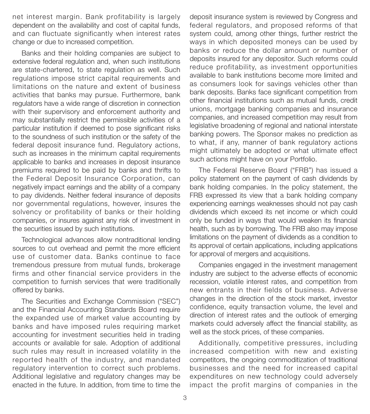net interest margin. Bank profitability is largely dependent on the availability and cost of capital funds, and can fluctuate significantly when interest rates change or due to increased competition.

Banks and their holding companies are subject to extensive federal regulation and, when such institutions are state-chartered, to state regulation as well. Such regulations impose strict capital requirements and limitations on the nature and extent of business activities that banks may pursue. Furthermore, bank regulators have a wide range of discretion in connection with their supervisory and enforcement authority and may substantially restrict the permissible activities of a particular institution if deemed to pose significant risks to the soundness of such institution or the safety of the federal deposit insurance fund. Regulatory actions, such as increases in the minimum capital requirements applicable to banks and increases in deposit insurance premiums required to be paid by banks and thrifts to the Federal Deposit Insurance Corporation, can negatively impact earnings and the ability of a company to pay dividends. Neither federal insurance of deposits nor governmental regulations, however, insures the solvency or profitability of banks or their holding companies, or insures against any risk of investment in the securities issued by such institutions.

Technological advances allow nontraditional lending sources to cut overhead and permit the more efficient use of customer data. Banks continue to face tremendous pressure from mutual funds, brokerage firms and other financial service providers in the competition to furnish services that were traditionally offered by banks.

The Securities and Exchange Commission ("SEC") and the Financial Accounting Standards Board require the expanded use of market value accounting by banks and have imposed rules requiring market accounting for investment securities held in trading accounts or available for sale. Adoption of additional such rules may result in increased volatility in the reported health of the industry, and mandated regulatory intervention to correct such problems. Additional legislative and regulatory changes may be enacted in the future. In addition, from time to time the

deposit insurance system is reviewed by Congress and federal regulators, and proposed reforms of that system could, among other things, further restrict the ways in which deposited moneys can be used by banks or reduce the dollar amount or number of deposits insured for any depositor. Such reforms could reduce profitability, as investment opportunities available to bank institutions become more limited and as consumers look for savings vehicles other than bank deposits. Banks face significant competition from other financial institutions such as mutual funds, credit unions, mortgage banking companies and insurance companies, and increased competition may result from legislative broadening of regional and national interstate banking powers. The Sponsor makes no prediction as to what, if any, manner of bank regulatory actions might ultimately be adopted or what ultimate effect such actions might have on your Portfolio.

The Federal Reserve Board ("FRB") has issued a policy statement on the payment of cash dividends by bank holding companies. In the policy statement, the FRB expressed its view that a bank holding company experiencing earnings weaknesses should not pay cash dividends which exceed its net income or which could only be funded in ways that would weaken its financial health, such as by borrowing. The FRB also may impose limitations on the payment of dividends as a condition to its approval of certain applications, including applications for approval of mergers and acquisitions.

Companies engaged in the investment management industry are subject to the adverse effects of economic recession, volatile interest rates, and competition from new entrants in their fields of business. Adverse changes in the direction of the stock market, investor confidence, equity transaction volume, the level and direction of interest rates and the outlook of emerging markets could adversely affect the financial stability, as well as the stock prices, of these companies.

Additionally, competitive pressures, including increased competition with new and existing competitors, the ongoing commoditization of traditional businesses and the need for increased capital expenditures on new technology could adversely impact the profit margins of companies in the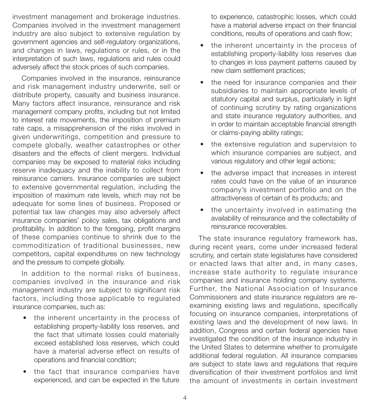investment management and brokerage industries. Companies involved in the investment management industry are also subject to extensive regulation by government agencies and self-regulatory organizations, and changes in laws, regulations or rules, or in the interpretation of such laws, regulations and rules could adversely affect the stock prices of such companies.

Companies involved in the insurance, reinsurance and risk management industry underwrite, sell or distribute property, casualty and business insurance. Many factors affect insurance, reinsurance and risk management company profits, including but not limited to interest rate movements, the imposition of premium rate caps, a misapprehension of the risks involved in given underwritings, competition and pressure to compete globally, weather catastrophes or other disasters and the effects of client mergers. Individual companies may be exposed to material risks including reserve inadequacy and the inability to collect from reinsurance carriers. Insurance companies are subject to extensive governmental regulation, including the imposition of maximum rate levels, which may not be adequate for some lines of business. Proposed or potential tax law changes may also adversely affect insurance companies' policy sales, tax obligations and profitability. In addition to the foregoing, profit margins of these companies continue to shrink due to the commoditization of traditional businesses, new competitors, capital expenditures on new technology and the pressure to compete globally.

In addition to the normal risks of business, companies involved in the insurance and risk management industry are subject to significant risk factors, including those applicable to regulated insurance companies, such as:

- the inherent uncertainty in the process of establishing property-liability loss reserves, and the fact that ultimate losses could materially exceed established loss reserves, which could have a material adverse effect on results of operations and financial condition;
- the fact that insurance companies have experienced, and can be expected in the future

to experience, catastrophic losses, which could have a material adverse impact on their financial conditions, results of operations and cash flow;

- the inherent uncertainty in the process of establishing property-liability loss reserves due to changes in loss payment patterns caused by new claim settlement practices;
- the need for insurance companies and their subsidiaries to maintain appropriate levels of statutory capital and surplus, particularly in light of continuing scrutiny by rating organizations and state insurance regulatory authorities, and in order to maintain acceptable financial strength or claims-paying ability ratings;
- the extensive regulation and supervision to which insurance companies are subject, and various regulatory and other legal actions;
- the adverse impact that increases in interest rates could have on the value of an insurance company's investment portfolio and on the attractiveness of certain of its products; and
- the uncertainty involved in estimating the availability of reinsurance and the collectability of reinsurance recoverables.

The state insurance regulatory framework has, during recent years, come under increased federal scrutiny, and certain state legislatures have considered or enacted laws that alter and, in many cases, increase state authority to regulate insurance companies and insurance holding company systems. Further, the National Association of Insurance Commissioners and state insurance regulators are reexamining existing laws and regulations, specifically focusing on insurance companies, interpretations of existing laws and the development of new laws. In addition, Congress and certain federal agencies have investigated the condition of the insurance industry in the United States to determine whether to promulgate additional federal regulation. All insurance companies are subject to state laws and regulations that require diversification of their investment portfolios and limit the amount of investments in certain investment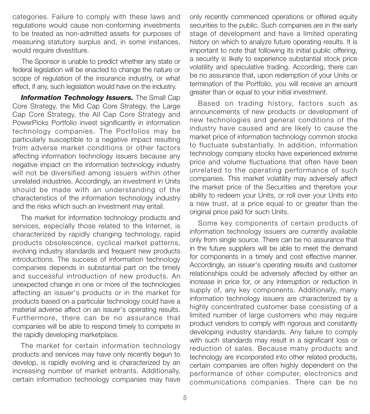categories. Failure to comply with these laws and regulations would cause non-conforming investments to be treated as non-admitted assets for purposes of measuring statutory surplus and, in some instances, would require divestiture.

The Sponsor is unable to predict whether any state or federal legislation will be enacted to change the nature or scope of regulation of the insurance industry, or what effect, if any, such legislation would have on the industry.

**Information Technology Issuers.** The Small Cap Core Strategy, the Mid Cap Core Strategy, the Large Cap Core Strategy, the All Cap Core Strategy and PowerPicks Portfolio invest significantly in information technology companies. The Portfolios may be particularly susceptible to a negative impact resulting from adverse market conditions or other factors affecting information technology issuers because any negative impact on the information technology industry will not be diversified among issuers within other unrelated industries. Accordingly, an investment in Units should be made with an understanding of the characteristics of the information technology industry and the risks which such an investment may entail.

The market for information technology products and services, especially those related to the Internet, is characterized by rapidly changing technology, rapid products obsolescence, cyclical market patterns, evolving industry standards and frequent new products introductions. The success of information technology companies depends in substantial part on the timely and successful introduction of new products. An unexpected change in one or more of the technologies affecting an issuer's products or in the market for products based on a particular technology could have a material adverse affect on an issuer's operating results. Furthermore, there can be no assurance that companies will be able to respond timely to compete in the rapidly developing marketplace.

The market for certain information technology products and services may have only recently begun to develop, is rapidly evolving and is characterized by an increasing number of market entrants. Additionally, certain information technology companies may have only recently commenced operations or offered equity securities to the public. Such companies are in the early stage of development and have a limited operating history on which to analyze future operating results. It is important to note that following its initial public offering, a security is likely to experience substantial stock price volatility and speculative trading. According, there can be no assurance that, upon redemption of your Units or termination of the Portfolio, you will receive an amount greater than or equal to your initial investment.

Based on trading history, factors such as announcements of new products or development of new technologies and general conditions of the industry have caused and are likely to cause the market price of information technology common stocks to fluctuate substantially. In addition, information technology company stocks have experienced extreme price and volume fluctuations that often have been unrelated to the operating performance of such companies. This market volatility may adversely affect the market price of the Securities and therefore your ability to redeem your Units, or roll over your Units into a new trust, at a price equal to or greater than the original price paid for such Units.

Some key components of certain products of information technology issuers are currently available only from single source. There can be no assurance that in the future suppliers will be able to meet the demand for components in a timely and cost effective manner. Accordingly, an issuer's operating results and customer relationships could be adversely affected by either an increase in price for, or any interruption or reduction in supply of, any key components. Additionally, many information technology issuers are characterized by a highly concentrated customer base consisting of a limited number of large customers who may require product vendors to comply with rigorous and constantly developing industry standards. Any failure to comply with such standards may result in a significant loss or reduction of sales. Because many products and technology are incorporated into other related products, certain companies are often highly dependent on the performance of other computer, electronics and communications companies. There can be no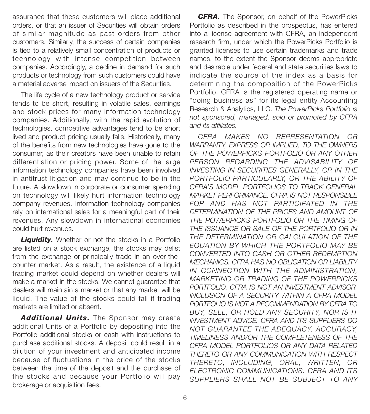assurance that these customers will place additional orders, or that an issuer of Securities will obtain orders of similar magnitude as past orders from other customers. Similarly, the success of certain companies is tied to a relatively small concentration of products or technology with intense competition between companies. Accordingly, a decline in demand for such products or technology from such customers could have a material adverse impact on issuers of the Securities.

The life cycle of a new technology product or service tends to be short, resulting in volatile sales, earnings and stock prices for many information technology companies. Additionally, with the rapid evolution of technologies, competitive advantages tend to be short lived and product pricing usually falls. Historically, many of the benefits from new technologies have gone to the consumer, as their creators have been unable to retain differentiation or pricing power. Some of the large information technology companies have been involved in antitrust litigation and may continue to be in the future. A slowdown in corporate or consumer spending on technology will likely hurt information technology company revenues. Information technology companies rely on international sales for a meaningful part of their revenues. Any slowdown in international economies could hurt revenues.

**Liquidity.** Whether or not the stocks in a Portfolio are listed on a stock exchange, the stocks may delist from the exchange or principally trade in an over-thecounter market. As a result, the existence of a liquid trading market could depend on whether dealers will make a market in the stocks. We cannot guarantee that dealers will maintain a market or that any market will be liquid. The value of the stocks could fall if trading markets are limited or absent.

Additional Units. The Sponsor may create additional Units of a Portfolio by depositing into the Portfolio additional stocks or cash with instructions to purchase additional stocks. A deposit could result in a dilution of your investment and anticipated income because of fluctuations in the price of the stocks between the time of the deposit and the purchase of the stocks and because your Portfolio will pay brokerage or acquisition fees.

*CFRA.* The Sponsor, on behalf of the PowerPicks Portfolio as described in the prospectus, has entered into a license agreement with CFRA, an independent research firm, under which the PowerPicks Portfolio is granted licenses to use certain trademarks and trade names, to the extent the Sponsor deems appropriate and desirable under federal and state securities laws to indicate the source of the index as a basis for determining the composition of the PowerPicks Portfolio. CFRA is the registered operating name or "doing business as" for its legal entity Accounting Research & Analytics, LLC. *The PowerPicks Portfolio is not sponsored, managed, sold or promoted by CFRA and its affiliates.*

*CFRA MAKES NO REPRESENTATION OR WARRANTY, EXPRESS OR IMPLIED, TO THE OWNERS OF THE POWERPICKS PORTFOLIO OR ANY OTHER PERSON REGARDING THE ADVISABILITY OF INVESTING IN SECURITIES GENERALLY, OR IN THE PORTFOLIO PARTICULARLY, OR THE ABILITY OF CFRA'S MODEL PORTFOLIOS TO TRACK GENERAL MARKET PERFORMANCE. CFRA IS NOT RESPONSIBLE FOR AND HAS NOT PARTICIPATED IN THE DETERMINATION OF THE PRICES AND AMOUNT OF THE POWERPICKS PORTFOLIO OR THE TIMING OF THE ISSUANCE OR SALE OF THE PORTFOLIO OR IN THE DETERMINATION OR CALCULATION OF THE EQUATION BY WHICH THE PORTFOLIO MAY BE CONVERTED INTO CASH OR OTHER REDEMPTION MECHANICS. CFRA HAS NO OBLIGATION OR LIABILITY IN CONNECTION WITH THE ADMINISTRATION, MARKETING OR TRADING OF THE POWERPICKS PORTFOLIO. CFRA IS NOT AN INVESTMENT ADVISOR. INCLUSION OF A SECURITY WITHIN A CFRA MODEL PORTFOLIO IS NOT A RECOMMENDATION BY CFRA TO BUY, SELL, OR HOLD ANY SECURITY, NOR IS IT INVESTMENT ADVICE. CFRA AND ITS SUPPLIERS DO NOT GUARANTEE THE ADEQUACY, ACCURACY, TIMELINESS AND/OR THE COMPLETENESS OF THE CFRA MODEL PORTFOLIOS OR ANY DATA RELATED THERETO OR ANY COMMUNICATION WITH RESPECT THERETO, INCLUDING, ORAL, WRITTEN, OR ELECTRONIC COMMUNICATIONS. CFRA AND ITS SUPPLIERS SHALL NOT BE SUBJECT TO ANY*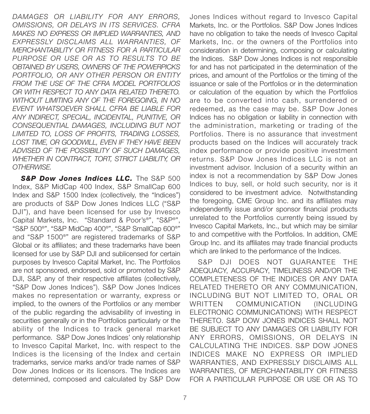*DAMAGES OR LIABILITY FOR ANY ERRORS, OMISSIONS, OR DELAYS IN ITS SERVICES. CFRA MAKES NO EXPRESS OR IMPLIED WARRANTIES, AND EXPRESSLY DISCLAIMS ALL WARRANTIES, OF MERCHANTABILITY OR FITNESS FOR A PARTICULAR PURPOSE OR USE OR AS TO RESULTS TO BE OBTAINED BY USERS, OWNERS OF THE POWERPICKS PORTFOLIO, OR ANY OTHER PERSON OR ENTITY FROM THE USE OF THE CFRA MODEL PORTFOLIOS OR WITH RESPECT TO ANY DATA RELATED THERETO. WITHOUT LIMITING ANY OF THE FOREGOING, IN NO EVENT WHATSOEVER SHALL CFRA BE LIABLE FOR ANY INDIRECT, SPECIAL, INCIDENTAL, PUNITIVE, OR CONSEQUENTIAL DAMAGES, INCLUDING BUT NOT LIMITED TO, LOSS OF PROFITS, TRADING LOSSES, LOST TIME, OR GOODWILL, EVEN IF THEY HAVE BEEN ADVISED OF THE POSSIBILITY OF SUCH DAMAGES, WHETHER IN CONTRACT, TORT, STRICT LIABILITY, OR OTHERWISE.* 

**S&P Dow Jones Indices LLC.** The S&P 500 Index, S&P MidCap 400 Index, S&P SmallCap 600 Index and S&P 1500 Index (collectively, the "Indices") are products of S&P Dow Jones Indices LLC ("S&P DJI"), and have been licensed for use by Invesco Capital Markets, Inc. "Standard & Poor's®", "S&P®", "S&P 500®", "S&P MidCap 400®", "S&P SmallCap 600®" and "S&P 1500®" are registered trademarks of S&P Global or its affiliates; and these trademarks have been licensed for use by S&P DJI and sublicensed for certain purposes by Invesco Capital Market, Inc. The Portfolios are not sponsored, endorsed, sold or promoted by S&P DJI, S&P, any of their respective affiliates (collectively, "S&P Dow Jones Indices"). S&P Dow Jones Indices makes no representation or warranty, express or implied, to the owners of the Portfolios or any member of the public regarding the advisability of investing in securities generally or in the Portfolios particularly or the ability of the Indices to track general market performance. S&P Dow Jones Indices' only relationship to Invesco Capital Market, Inc. with respect to the Indices is the licensing of the Index and certain trademarks, service marks and/or trade names of S&P Dow Jones Indices or its licensors. The Indices are determined, composed and calculated by S&P Dow

Jones Indices without regard to Invesco Capital Markets, Inc. or the Portfolios. S&P Dow Jones Indices have no obligation to take the needs of Invesco Capital Markets, Inc. or the owners of the Portfolios into consideration in determining, composing or calculating the Indices. S&P Dow Jones Indices is not responsible for and has not participated in the determination of the prices, and amount of the Portfolios or the timing of the issuance or sale of the Portfolios or in the determination or calculation of the equation by which the Portfolios are to be converted into cash, surrendered or redeemed, as the case may be. S&P Dow Jones Indices has no obligation or liability in connection with the administration, marketing or trading of the Portfolios. There is no assurance that investment products based on the Indices will accurately track index performance or provide positive investment returns. S&P Dow Jones Indices LLC is not an investment advisor. Inclusion of a security within an index is not a recommendation by S&P Dow Jones Indices to buy, sell, or hold such security, nor is it considered to be investment advice. Notwithstanding the foregoing, CME Group Inc. and its affiliates may independently issue and/or sponsor financial products unrelated to the Portfolios currently being issued by Invesco Capital Markets, Inc., but which may be similar to and competitive with the Portfolios. In addition, CME Group Inc. and its affiliates may trade financial products which are linked to the performance of the Indices.

S&P DJI DOES NOT GUARANTEE THE ADEQUACY, ACCURACY, TIMELINESS AND/OR THE COMPLETENESS OF THE INDICES OR ANY DATA RELATED THERETO OR ANY COMMUNICATION, INCLUDING BUT NOT LIMITED TO, ORAL OR WRITTEN COMMUNICATION (INCLUDING ELECTRONIC COMMUNICATIONS) WITH RESPECT THERETO. S&P DOW JONES INDICES SHALL NOT BE SUBJECT TO ANY DAMAGES OR LIABILITY FOR ANY ERRORS, OMISSIONS, OR DELAYS IN CALCULATING THE INDICES. S&P DOW JONES INDICES MAKE NO EXPRESS OR IMPLIED WARRANTIES, AND EXPRESSLY DISCLAIMS ALL WARRANTIES, OF MERCHANTABILITY OR FITNESS FOR A PARTICULAR PURPOSE OR USE OR AS TO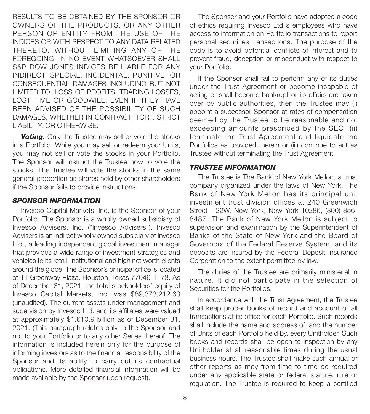RESULTS TO BE OBTAINED BY THE SPONSOR OR OWNERS OF THE PRODUCTS, OR ANY OTHER PERSON OR ENTITY FROM THE USE OF THE INDICES OR WITH RESPECT TO ANY DATA RELATED THERETO. WITHOUT LIMITING ANY OF THE FOREGOING, IN NO EVENT WHATSOEVER SHALL S&P DOW JONES INDICES BE LIABLE FOR ANY INDIRECT, SPECIAL, INCIDENTAL, PUNITIVE, OR CONSEQUENTIAL DAMAGES INCLUDING BUT NOT LIMITED TO, LOSS OF PROFITS, TRADING LOSSES, LOST TIME OR GOODWILL, EVEN IF THEY HAVE BEEN ADVISED OF THE POSSIBILITY OF SUCH DAMAGES, WHETHER IN CONTRACT, TORT, STRICT LIABILITY, OR OTHERWISE.

**Voting.** Only the Trustee may sell or vote the stocks in a Portfolio. While you may sell or redeem your Units, you may not sell or vote the stocks in your Portfolio. The Sponsor will instruct the Trustee how to vote the stocks. The Trustee will vote the stocks in the same general proportion as shares held by other shareholders if the Sponsor fails to provide instructions.

#### *SPONSOR INFORMATION*

Invesco Capital Markets, Inc. is the Sponsor of your Portfolio. The Sponsor is a wholly owned subsidiary of Invesco Advisers, Inc. ("Invesco Advisers"). Invesco Advisers is an indirect wholly owned subsidiary of Invesco Ltd., a leading independent global investment manager that provides a wide range of investment strategies and vehicles to its retail, institutional and high net worth clients around the globe. The Sponsor's principal office is located at 11 Greenway Plaza, Houston, Texas 77046-1173. As of December 31, 2021, the total stockholders' equity of Invesco Capital Markets, Inc. was \$89,373,212.63 (unaudited). The current assets under management and supervision by Invesco Ltd. and its affiliates were valued at approximately \$1,610.9 billion as of December 31, 2021. (This paragraph relates only to the Sponsor and not to your Portfolio or to any other Series thereof. The information is included herein only for the purpose of informing investors as to the financial responsibility of the Sponsor and its ability to carry out its contractual obligations. More detailed financial information will be made available by the Sponsor upon request).

The Sponsor and your Portfolio have adopted a code of ethics requiring Invesco Ltd.'s employees who have access to information on Portfolio transactions to report personal securities transactions. The purpose of the code is to avoid potential conflicts of interest and to prevent fraud, deception or misconduct with respect to your Portfolio.

If the Sponsor shall fail to perform any of its duties under the Trust Agreement or become incapable of acting or shall become bankrupt or its affairs are taken over by public authorities, then the Trustee may (i) appoint a successor Sponsor at rates of compensation deemed by the Trustee to be reasonable and not exceeding amounts prescribed by the SEC, (ii) terminate the Trust Agreement and liquidate the Portfolios as provided therein or (iii) continue to act as Trustee without terminating the Trust Agreement.

## *TRUSTEE INFORMATION*

The Trustee is The Bank of New York Mellon, a trust company organized under the laws of New York. The Bank of New York Mellon has its principal unit investment trust division offices at 240 Greenwich Street - 22W, New York, New York 10286, (800) 856- 8487. The Bank of New York Mellon is subject to supervision and examination by the Superintendent of Banks of the State of New York and the Board of Governors of the Federal Reserve System, and its deposits are insured by the Federal Deposit Insurance Corporation to the extent permitted by law.

The duties of the Trustee are primarily ministerial in nature. It did not participate in the selection of Securities for the Portfolios.

In accordance with the Trust Agreement, the Trustee shall keep proper books of record and account of all transactions at its office for each Portfolio. Such records shall include the name and address of, and the number of Units of each Portfolio held by, every Unitholder. Such books and records shall be open to inspection by any Unitholder at all reasonable times during the usual business hours. The Trustee shall make such annual or other reports as may from time to time be required under any applicable state or federal statute, rule or regulation. The Trustee is required to keep a certified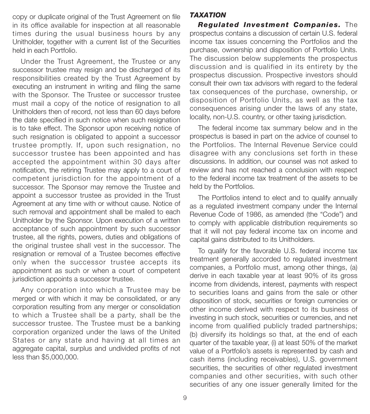copy or duplicate original of the Trust Agreement on file in its office available for inspection at all reasonable times during the usual business hours by any Unitholder, together with a current list of the Securities held in each Portfolio.

Under the Trust Agreement, the Trustee or any successor trustee may resign and be discharged of its responsibilities created by the Trust Agreement by executing an instrument in writing and filing the same with the Sponsor. The Trustee or successor trustee must mail a copy of the notice of resignation to all Unitholders then of record, not less than 60 days before the date specified in such notice when such resignation is to take effect. The Sponsor upon receiving notice of such resignation is obligated to appoint a successor trustee promptly. If, upon such resignation, no successor trustee has been appointed and has accepted the appointment within 30 days after notification, the retiring Trustee may apply to a court of competent jurisdiction for the appointment of a successor. The Sponsor may remove the Trustee and appoint a successor trustee as provided in the Trust Agreement at any time with or without cause. Notice of such removal and appointment shall be mailed to each Unitholder by the Sponsor. Upon execution of a written acceptance of such appointment by such successor trustee, all the rights, powers, duties and obligations of the original trustee shall vest in the successor. The resignation or removal of a Trustee becomes effective only when the successor trustee accepts its appointment as such or when a court of competent jurisdiction appoints a successor trustee.

Any corporation into which a Trustee may be merged or with which it may be consolidated, or any corporation resulting from any merger or consolidation to which a Trustee shall be a party, shall be the successor trustee. The Trustee must be a banking corporation organized under the laws of the United States or any state and having at all times an aggregate capital, surplus and undivided profits of not less than \$5,000,000.

# *TAXATION*

*Regulated Investment Companies.* The prospectus contains a discussion of certain U.S. federal income tax issues concerning the Portfolios and the purchase, ownership and disposition of Portfolio Units. The discussion below supplements the prospectus discussion and is qualified in its entirety by the prospectus discussion. Prospective investors should consult their own tax advisors with regard to the federal tax consequences of the purchase, ownership, or disposition of Portfolio Units, as well as the tax consequences arising under the laws of any state, locality, non-U.S. country, or other taxing jurisdiction.

The federal income tax summary below and in the prospectus is based in part on the advice of counsel to the Portfolios. The Internal Revenue Service could disagree with any conclusions set forth in these discussions. In addition, our counsel was not asked to review and has not reached a conclusion with respect to the federal income tax treatment of the assets to be held by the Portfolios.

The Portfolios intend to elect and to qualify annually as a regulated investment company under the Internal Revenue Code of 1986, as amended (the "Code") and to comply with applicable distribution requirements so that it will not pay federal income tax on income and capital gains distributed to its Unitholders.

To qualify for the favorable U.S. federal income tax treatment generally accorded to regulated investment companies, a Portfolio must, among other things, (a) derive in each taxable year at least 90% of its gross income from dividends, interest, payments with respect to securities loans and gains from the sale or other disposition of stock, securities or foreign currencies or other income derived with respect to its business of investing in such stock, securities or currencies, and net income from qualified publicly traded partnerships; (b) diversify its holdings so that, at the end of each quarter of the taxable year, (i) at least 50% of the market value of a Portfolio's assets is represented by cash and cash items (including receivables), U.S. government securities, the securities of other regulated investment companies and other securities, with such other securities of any one issuer generally limited for the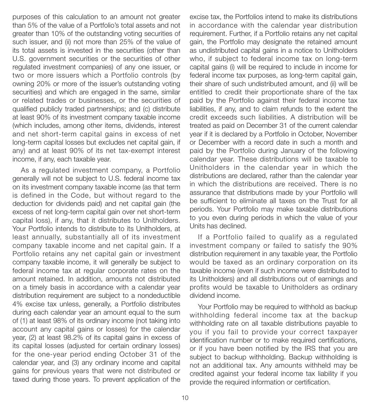purposes of this calculation to an amount not greater than 5% of the value of a Portfolio's total assets and not greater than 10% of the outstanding voting securities of such issuer, and (ii) not more than 25% of the value of its total assets is invested in the securities (other than U.S. government securities or the securities of other regulated investment companies) of any one issuer, or two or more issuers which a Portfolio controls (by owning 20% or more of the issuer's outstanding voting securities) and which are engaged in the same, similar or related trades or businesses, or the securities of qualified publicly traded partnerships; and (c) distribute at least 90% of its investment company taxable income (which includes, among other items, dividends, interest and net short-term capital gains in excess of net long-term capital losses but excludes net capital gain, if any) and at least 90% of its net tax-exempt interest income, if any, each taxable year.

As a regulated investment company, a Portfolio generally will not be subject to U.S. federal income tax on its investment company taxable income (as that term is defined in the Code, but without regard to the deduction for dividends paid) and net capital gain (the excess of net long-term capital gain over net short-term capital loss), if any, that it distributes to Unitholders. Your Portfolio intends to distribute to its Unitholders, at least annually, substantially all of its investment company taxable income and net capital gain. If a Portfolio retains any net capital gain or investment company taxable income, it will generally be subject to federal income tax at regular corporate rates on the amount retained. In addition, amounts not distributed on a timely basis in accordance with a calendar year distribution requirement are subject to a nondeductible 4% excise tax unless, generally, a Portfolio distributes during each calendar year an amount equal to the sum of (1) at least 98% of its ordinary income (not taking into account any capital gains or losses) for the calendar year, (2) at least 98.2% of its capital gains in excess of its capital losses (adjusted for certain ordinary losses) for the one-year period ending October 31 of the calendar year, and (3) any ordinary income and capital gains for previous years that were not distributed or taxed during those years. To prevent application of the

excise tax, the Portfolios intend to make its distributions in accordance with the calendar year distribution requirement. Further, if a Portfolio retains any net capital gain, the Portfolio may designate the retained amount as undistributed capital gains in a notice to Unitholders who, if subject to federal income tax on long-term capital gains (i) will be required to include in income for federal income tax purposes, as long-term capital gain, their share of such undistributed amount, and (ii) will be entitled to credit their proportionate share of the tax paid by the Portfolio against their federal income tax liabilities, if any, and to claim refunds to the extent the credit exceeds such liabilities. A distribution will be treated as paid on December 31 of the current calendar year if it is declared by a Portfolio in October, November or December with a record date in such a month and paid by the Portfolio during January of the following calendar year. These distributions will be taxable to Unitholders in the calendar year in which the distributions are declared, rather than the calendar year in which the distributions are received. There is no assurance that distributions made by your Portfolio will be sufficient to eliminate all taxes on the Trust for all periods. Your Portfolio may make taxable distributions to you even during periods in which the value of your Units has declined.

If a Portfolio failed to qualify as a regulated investment company or failed to satisfy the 90% distribution requirement in any taxable year, the Portfolio would be taxed as an ordinary corporation on its taxable income (even if such income were distributed to its Unitholders) and all distributions out of earnings and profits would be taxable to Unitholders as ordinary dividend income.

Your Portfolio may be required to withhold as backup withholding federal income tax at the backup withholding rate on all taxable distributions payable to you if you fail to provide your correct taxpayer identification number or to make required certifications, or if you have been notified by the IRS that you are subject to backup withholding. Backup withholding is not an additional tax. Any amounts withheld may be credited against your federal income tax liability if you provide the required information or certification.